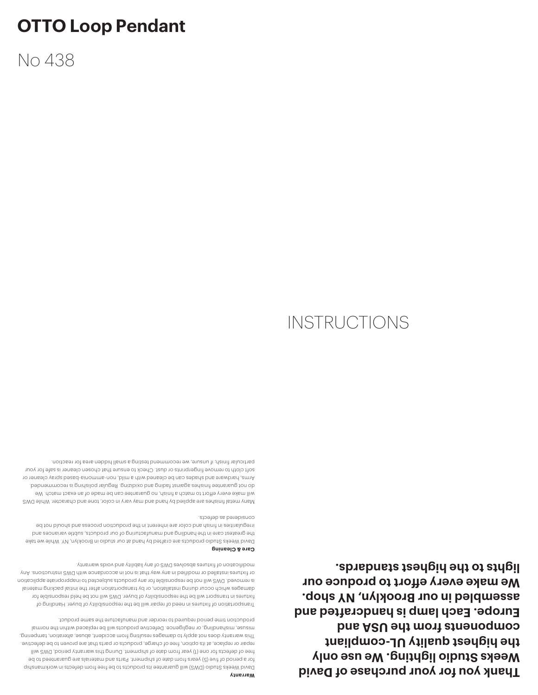**Thank you for your purchase of David Weeks Studio lighting. We use only the highest quality UL-compliant**  component *the deal* and *but* **Europe. Each lamp is handcrafted and assembled in our Brooklyn, NY shop. We make every effort to produce our lights to the highest standards.**

#### **Warranty**

David Weeks Studio (DWS) will guarantee its products to be free from defects in workmanship for a period of five (5) years from date of shipment. Parts and materials are guaranteed to be free of defects for one (1) year from date of shipment. During this warranty period, DWS will repair or replace, at its option, free of charge, products or parts that are proven to be defective. This warranty does not apply to damages resulting from accident, abuse, alteration, tampering, misuse, mishandling, or negligence. Defective products will be replaced within the normal production time period required to reorder and manufacture the same product.

Transportation of fixtures in need of repair will be the responsibility of buyer. Handling of fixtures in transport will be the responsibility of buyer. DWS will not be held responsible for damages which occur during installation, or by transportation after the initial packing material is removed. DWS will not be responsible for any products subjected to inappropriate application or fixtures installed or modified in any way that is not in accordance with DWS instructions. Any modification of fixtures absolves DWS of any liability and voids warranty.

### **Care & Cleaning**

David Weeks Studio products are crafted by hand at our studio in Brooklyn, NY. While we take the greatest care in the handling and manufacturing of our products, subtle variances and irregularities in finish and color are inherent in the production process and should not be considered as defects.

Many metal finishes are applied by hand and may vary in color, tone and character. While DWS will make every effort to match a finish, no guarantee can be made of an exact match. We do not guarantee finishes against fading and oxidizing. Regular polishing is recommended. Arms, hardware and shades can be cleaned with a mild, non-ammonia-based spray cleaner or soft cloth to remove fingerprints or dust. Check to ensure that chosen cleaner is safe for your particular finish; if unsure, we recommend testing a small hidden area for reaction.

# **INSTRUCTIONS**

No 438

**OTTO Loop Pendant**